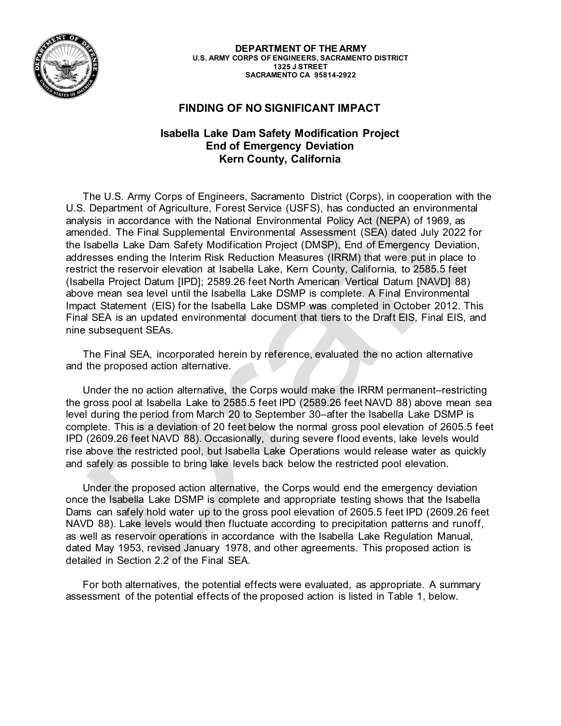

**DEPARTMENT OF THE ARMY U.S. ARMY CORPS OF ENGINEERS, SACRAMENTO DISTRICT 1325 J STREET SACRAMENTO CA 95814-2922**

## **FINDING OF NO SIGNIFICANT IMPACT**

## **Isabella Lake Dam Safety Modification Project End of Emergency Deviation Kern County, California**

The U.S. Army Corps of Engineers, Sacramento District (Corps), in cooperation with the U.S. Department of Agriculture, Forest Service (USFS), has conducted an environmental analysis in accordance with the National Environmental Policy Act (NEPA) of 1969, as amended. The Final Supplemental Environmental Assessment (SEA) dated July 2022 for the Isabella Lake Dam Safety Modification Project (DMSP), End of Emergency Deviation, addresses ending the Interim Risk Reduction Measures (IRRM) that were put in place to restrict the reservoir elevation at Isabella Lake, Kern County, California, to 2585.5 feet (Isabella Project Datum [IPD]; 2589.26 feet North American Vertical Datum [NAVD] 88) above mean sea level until the Isabella Lake DSMP is complete. A Final Environmental Impact Statement (EIS) for the Isabella Lake DSMP was completed in October 2012. This Final SEA is an updated environmental document that tiers to the Draft EIS, Final EIS, and nine subsequent SEAs.

The Final SEA, incorporated herein by reference, evaluated the no action alternative and the proposed action alternative.

Under the no action alternative, the Corps would make the IRRM permanent–restricting the gross pool at Isabella Lake to 2585.5 feet IPD (2589.26 feet NAVD 88) above mean sea level during the period from March 20 to September 30–after the Isabella Lake DSMP is complete. This is a deviation of 20 feet below the normal gross pool elevation of 2605.5 feet IPD (2609.26 feet NAVD 88). Occasionally, during severe flood events, lake levels would rise above the restricted pool, but Isabella Lake Operations would release water as quickly and safely as possible to bring lake levels back below the restricted pool elevation.

Under the proposed action alternative, the Corps would end the emergency deviation once the Isabella Lake DSMP is complete and appropriate testing shows that the Isabella Dams can safely hold water up to the gross pool elevation of 2605.5 feet IPD (2609.26 feet NAVD 88). Lake levels would then fluctuate according to precipitation patterns and runoff, as well as reservoir operations in accordance with the Isabella Lake Regulation Manual, dated May 1953, revised January 1978, and other agreements. This proposed action is detailed in Section 2.2 of the Final SEA.

For both alternatives, the potential effects were evaluated, as appropriate. A summary assessment of the potential effects of the proposed action is listed in Table 1, below.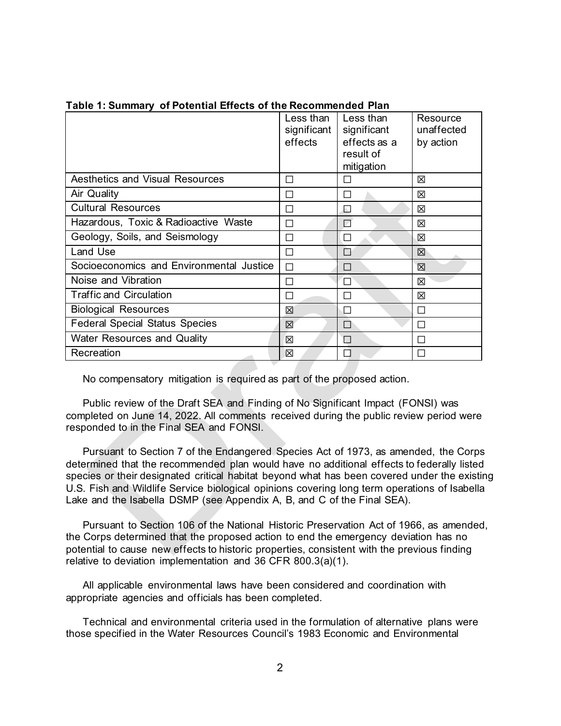|                                          | Less than<br>significant<br>effects | Less than<br>significant<br>effects as a<br>result of<br>mitigation | Resource<br>unaffected<br>by action |
|------------------------------------------|-------------------------------------|---------------------------------------------------------------------|-------------------------------------|
| <b>Aesthetics and Visual Resources</b>   | П                                   | П                                                                   | ⊠                                   |
| Air Quality                              | П                                   | П                                                                   | X                                   |
| <b>Cultural Resources</b>                | П                                   | N                                                                   | ⊠                                   |
| Hazardous, Toxic & Radioactive Waste     | П                                   | $\Box$                                                              | X                                   |
| Geology, Soils, and Seismology           | П                                   | П                                                                   | X                                   |
| Land Use                                 | □                                   | П                                                                   | 区                                   |
| Socioeconomics and Environmental Justice | П                                   | П                                                                   | X                                   |
| Noise and Vibration                      | П                                   | П                                                                   | X                                   |
| <b>Traffic and Circulation</b>           | П                                   | П                                                                   | X                                   |
| <b>Biological Resources</b>              | X                                   | П                                                                   | П                                   |
| <b>Federal Special Status Species</b>    | X                                   | П                                                                   | П                                   |
| <b>Water Resources and Quality</b>       | X                                   | П                                                                   | П                                   |
| Recreation                               | ⊠                                   | П                                                                   | П                                   |

## **Table 1: Summary of Potential Effects of the Recommended Plan**

No compensatory mitigation is required as part of the proposed action.

Public review of the Draft SEA and Finding of No Significant Impact (FONSI) was completed on June 14, 2022. All comments received during the public review period were responded to in the Final SEA and FONSI.

Pursuant to Section 7 of the Endangered Species Act of 1973, as amended, the Corps determined that the recommended plan would have no additional effects to federally listed species or their designated critical habitat beyond what has been covered under the existing U.S. Fish and Wildlife Service biological opinions covering long term operations of Isabella Lake and the Isabella DSMP (see Appendix A, B, and C of the Final SEA).

Pursuant to Section 106 of the National Historic Preservation Act of 1966, as amended, the Corps determined that the proposed action to end the emergency deviation has no potential to cause new effects to historic properties, consistent with the previous finding relative to deviation implementation and 36 CFR 800.3(a)(1).

All applicable environmental laws have been considered and coordination with appropriate agencies and officials has been completed.

Technical and environmental criteria used in the formulation of alternative plans were those specified in the Water Resources Council's 1983 Economic and Environmental